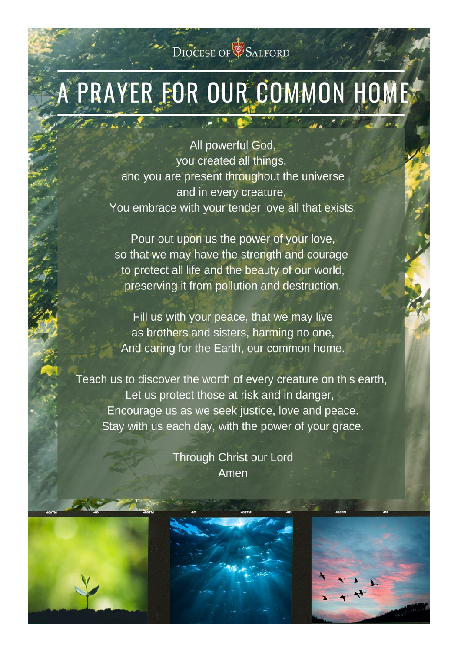# DIOCESE OF SALFORD

# PRAYER FOR OUR COMMON HOME

 $\mathcal{L}$ 

All powerful God, you created all things, and you are present throughout the universe and in every creature. You embrace with your tender love all that exists.

Pour out upon us the power of your love, so that we may have the strength and courage to protect all life and the beauty of our world, preserving it from pollution and destruction.

Fill us with your peace, that we may live as brothers and sisters, harming no one, And caring for the Earth, our common home.

Teach us to discover the worth of every creature on this earth, Let us protect those at risk and in danger, Encourage us as we seek justice, love and peace. Stay with us each day, with the power of your grace.

> Through Christ our Lord Amen